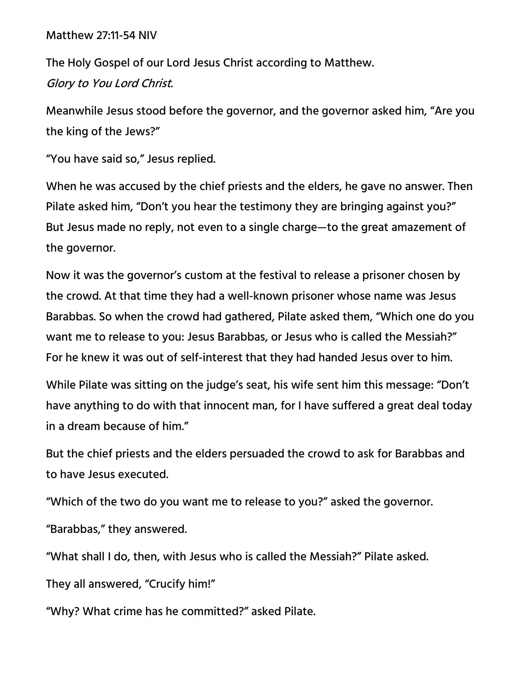## Matthew 27:11-54 NIV

The Holy Gospel of our Lord Jesus Christ according to Matthew. Glory to You Lord Christ.

Meanwhile Jesus stood before the governor, and the governor asked him, "Are you the king of the Jews?"

"You have said so," Jesus replied.

When he was accused by the chief priests and the elders, he gave no answer. Then Pilate asked him, "Don't you hear the testimony they are bringing against you?" But Jesus made no reply, not even to a single charge—to the great amazement of the governor.

Now it was the governor's custom at the festival to release a prisoner chosen by the crowd. At that time they had a well-known prisoner whose name was Jesus Barabbas. So when the crowd had gathered, Pilate asked them, "Which one do you want me to release to you: Jesus Barabbas, or Jesus who is called the Messiah?" For he knew it was out of self-interest that they had handed Jesus over to him.

While Pilate was sitting on the judge's seat, his wife sent him this message: "Don't have anything to do with that innocent man, for I have suffered a great deal today in a dream because of him."

But the chief priests and the elders persuaded the crowd to ask for Barabbas and to have Jesus executed.

"Which of the two do you want me to release to you?" asked the governor.

"Barabbas," they answered.

"What shall I do, then, with Jesus who is called the Messiah?" Pilate asked.

They all answered, "Crucify him!"

"Why? What crime has he committed?" asked Pilate.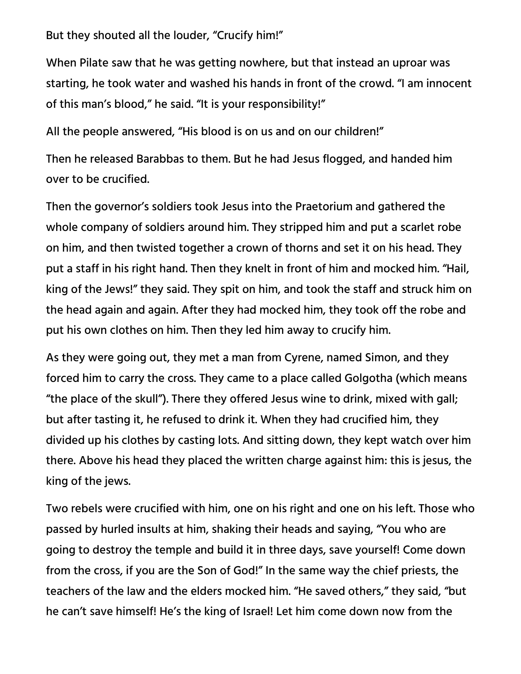## But they shouted all the louder, "Crucify him!"

When Pilate saw that he was getting nowhere, but that instead an uproar was starting, he took water and washed his hands in front of the crowd. "I am innocent of this man's blood," he said. "It is your responsibility!"

All the people answered, "His blood is on us and on our children!"

Then he released Barabbas to them. But he had Jesus flogged, and handed him over to be crucified.

Then the governor's soldiers took Jesus into the Praetorium and gathered the whole company of soldiers around him. They stripped him and put a scarlet robe on him, and then twisted together a crown of thorns and set it on his head. They put a staff in his right hand. Then they knelt in front of him and mocked him. "Hail, king of the Jews!" they said. They spit on him, and took the staff and struck him on the head again and again. After they had mocked him, they took off the robe and put his own clothes on him. Then they led him away to crucify him.

As they were going out, they met a man from Cyrene, named Simon, and they forced him to carry the cross. They came to a place called Golgotha (which means "the place of the skull"). There they offered Jesus wine to drink, mixed with gall; but after tasting it, he refused to drink it. When they had crucified him, they divided up his clothes by casting lots. And sitting down, they kept watch over him there. Above his head they placed the written charge against him: this is jesus, the king of the jews.

Two rebels were crucified with him, one on his right and one on his left. Those who passed by hurled insults at him, shaking their heads and saying, "You who are going to destroy the temple and build it in three days, save yourself! Come down from the cross, if you are the Son of God!" In the same way the chief priests, the teachers of the law and the elders mocked him. "He saved others," they said, "but he can't save himself! He's the king of Israel! Let him come down now from the